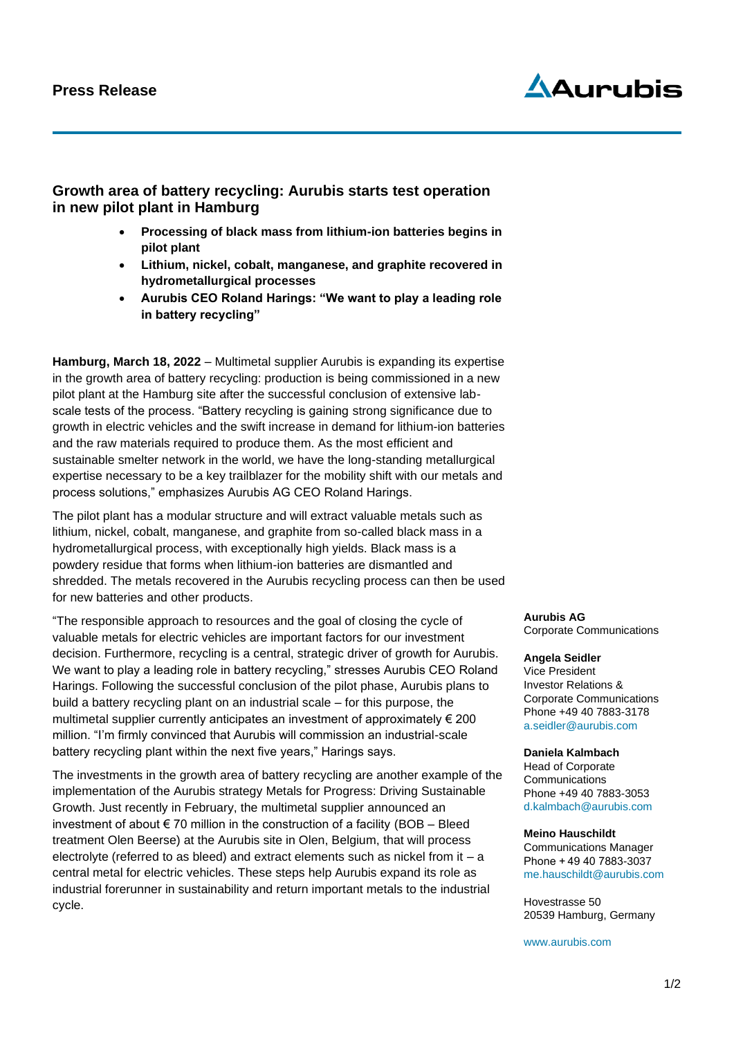

# **Growth area of battery recycling: Aurubis starts test operation in new pilot plant in Hamburg**

- **Processing of black mass from lithium-ion batteries begins in pilot plant**
- **Lithium, nickel, cobalt, manganese, and graphite recovered in hydrometallurgical processes**
- **Aurubis CEO Roland Harings: "We want to play a leading role in battery recycling"**

**Hamburg, March 18, 2022** – Multimetal supplier Aurubis is expanding its expertise in the growth area of battery recycling: production is being commissioned in a new pilot plant at the Hamburg site after the successful conclusion of extensive labscale tests of the process. "Battery recycling is gaining strong significance due to growth in electric vehicles and the swift increase in demand for lithium-ion batteries and the raw materials required to produce them. As the most efficient and sustainable smelter network in the world, we have the long-standing metallurgical expertise necessary to be a key trailblazer for the mobility shift with our metals and process solutions," emphasizes Aurubis AG CEO Roland Harings.

The pilot plant has a modular structure and will extract valuable metals such as lithium, nickel, cobalt, manganese, and graphite from so-called black mass in a hydrometallurgical process, with exceptionally high yields. Black mass is a powdery residue that forms when lithium-ion batteries are dismantled and shredded. The metals recovered in the Aurubis recycling process can then be used for new batteries and other products.

"The responsible approach to resources and the goal of closing the cycle of valuable metals for electric vehicles are important factors for our investment decision. Furthermore, recycling is a central, strategic driver of growth for Aurubis. We want to play a leading role in battery recycling," stresses Aurubis CEO Roland Harings. Following the successful conclusion of the pilot phase, Aurubis plans to build a battery recycling plant on an industrial scale – for this purpose, the multimetal supplier currently anticipates an investment of approximately € 200 million. "I'm firmly convinced that Aurubis will commission an industrial-scale battery recycling plant within the next five years," Harings says.

The investments in the growth area of battery recycling are another example of the implementation of the Aurubis strategy Metals for Progress: Driving Sustainable Growth. Just recently in February, the multimetal supplier announced an investment of about € 70 million in the construction of a facility (BOB – Bleed treatment Olen Beerse) at the Aurubis site in Olen, Belgium, that will process electrolyte (referred to as bleed) and extract elements such as nickel from it  $-a$ central metal for electric vehicles. These steps help Aurubis expand its role as industrial forerunner in sustainability and return important metals to the industrial cycle.

**Aurubis AG** Corporate Communications

## **Angela Seidler**

Vice President Investor Relations & Corporate Communications Phone +49 40 7883-3178 [a.seidler@aurubis.com](mailto:a.seidler@aurubis.com)

## **Daniela Kalmbach**

Head of Corporate **Communications** Phone +49 40 7883-3053 [d.kalmbach@aurubis.com](mailto:d.kalmbach@aurubis.com)

#### **Meino Hauschildt**

Communications Manager Phone + 49 40 7883-3037 [me.hauschildt@aurubis.com](mailto:me.hauschildt@aurubis.com)

Hovestrasse 50 20539 Hamburg, Germany

[www.aurubis.com](http://www.aurubis.com/)